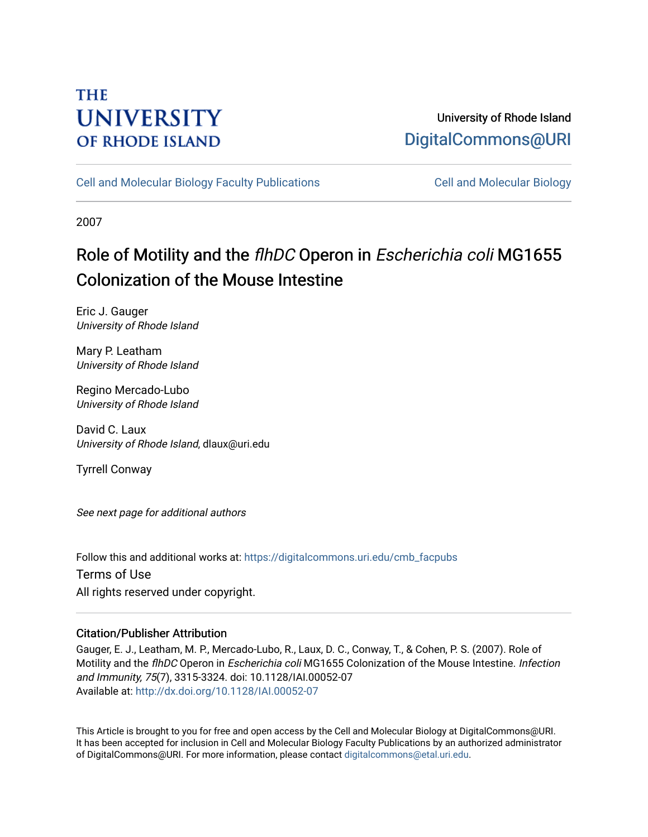# **THE UNIVERSITY OF RHODE ISLAND**

## University of Rhode Island [DigitalCommons@URI](https://digitalcommons.uri.edu/)

[Cell and Molecular Biology Faculty Publications](https://digitalcommons.uri.edu/cmb_facpubs) [Cell and Molecular Biology](https://digitalcommons.uri.edu/cmb) 

2007

# Role of Motility and the flhDC Operon in Escherichia coli MG1655 Colonization of the Mouse Intestine

Eric J. Gauger University of Rhode Island

Mary P. Leatham University of Rhode Island

Regino Mercado-Lubo University of Rhode Island

David C. Laux University of Rhode Island, dlaux@uri.edu

Tyrrell Conway

See next page for additional authors

Follow this and additional works at: [https://digitalcommons.uri.edu/cmb\\_facpubs](https://digitalcommons.uri.edu/cmb_facpubs?utm_source=digitalcommons.uri.edu%2Fcmb_facpubs%2F68&utm_medium=PDF&utm_campaign=PDFCoverPages)  Terms of Use All rights reserved under copyright.

### Citation/Publisher Attribution

Gauger, E. J., Leatham, M. P., Mercado-Lubo, R., Laux, D. C., Conway, T., & Cohen, P. S. (2007). Role of Motility and the flhDC Operon in Escherichia coli MG1655 Colonization of the Mouse Intestine. Infection and Immunity, 75(7), 3315-3324. doi: 10.1128/IAI.00052-07 Available at:<http://dx.doi.org/10.1128/IAI.00052-07>

This Article is brought to you for free and open access by the Cell and Molecular Biology at DigitalCommons@URI. It has been accepted for inclusion in Cell and Molecular Biology Faculty Publications by an authorized administrator of DigitalCommons@URI. For more information, please contact [digitalcommons@etal.uri.edu](mailto:digitalcommons@etal.uri.edu).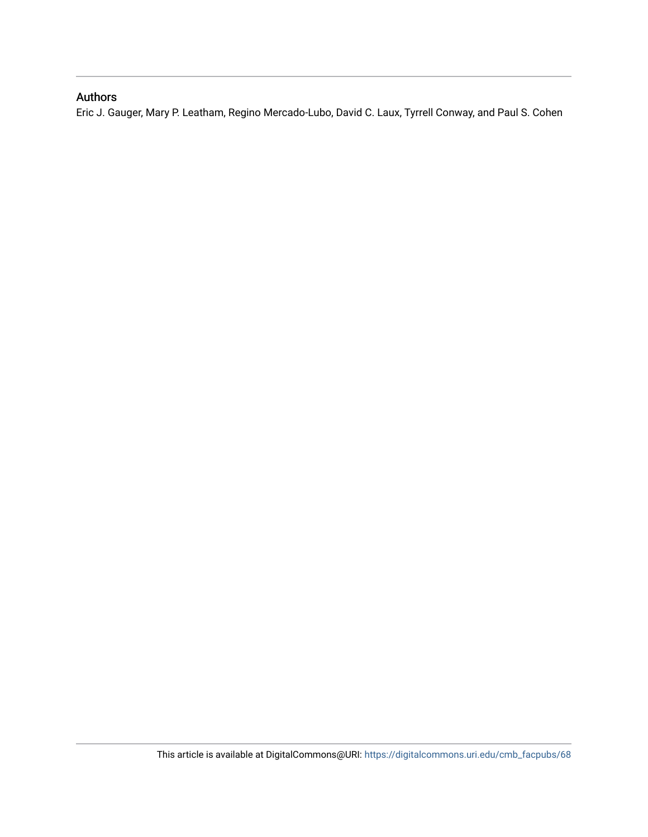### Authors

Eric J. Gauger, Mary P. Leatham, Regino Mercado-Lubo, David C. Laux, Tyrrell Conway, and Paul S. Cohen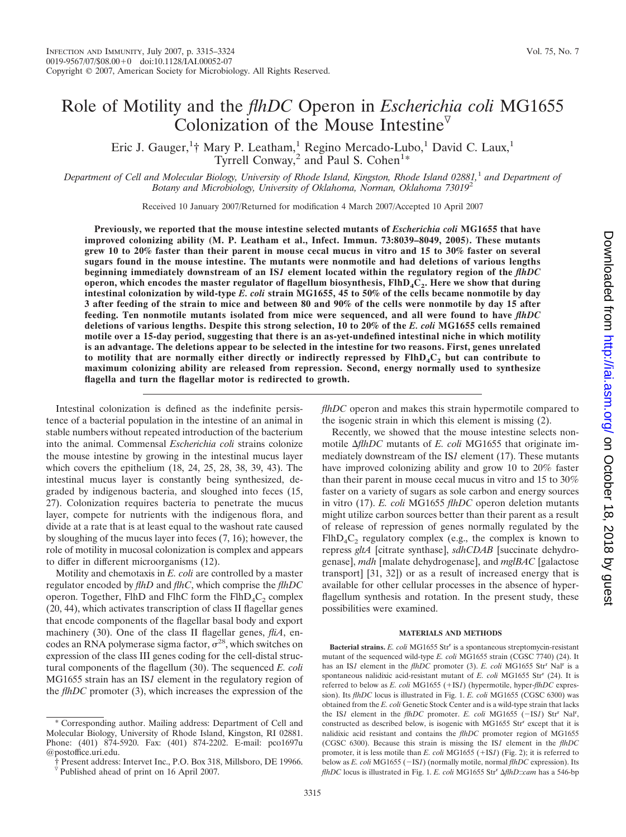## Role of Motility and the *flhDC* Operon in *Escherichia coli* MG1655 Colonization of the Mouse Intestine<sup> $\nabla$ </sup>

Eric J. Gauger,<sup>1</sup>† Mary P. Leatham,<sup>1</sup> Regino Mercado-Lubo,<sup>1</sup> David C. Laux,<sup>1</sup> Tyrrell Conway,<sup>2</sup> and Paul S. Cohen<sup>1\*</sup>

*Department of Cell and Molecular Biology, University of Rhode Island, Kingston, Rhode Island 02881,*<sup>1</sup> *and Department of Botany and Microbiology, University of Oklahoma, Norman, Oklahoma 73019*<sup>2</sup>

Received 10 January 2007/Returned for modification 4 March 2007/Accepted 10 April 2007

**Previously, we reported that the mouse intestine selected mutants of** *Escherichia coli* **MG1655 that have improved colonizing ability (M. P. Leatham et al., Infect. Immun. 73:8039–8049, 2005). These mutants grew 10 to 20% faster than their parent in mouse cecal mucus in vitro and 15 to 30% faster on several sugars found in the mouse intestine. The mutants were nonmotile and had deletions of various lengths beginning immediately downstream of an IS***1* **element located within the regulatory region of the** *flhDC* **operon, which encodes the master regulator of flagellum biosynthesis, FlhD<sub>4</sub>C<sub>2</sub>. Here we show that during intestinal colonization by wild-type** *E. coli* **strain MG1655, 45 to 50% of the cells became nonmotile by day 3 after feeding of the strain to mice and between 80 and 90% of the cells were nonmotile by day 15 after feeding. Ten nonmotile mutants isolated from mice were sequenced, and all were found to have** *flhDC* **deletions of various lengths. Despite this strong selection, 10 to 20% of the** *E. coli* **MG1655 cells remained motile over a 15-day period, suggesting that there is an as-yet-undefined intestinal niche in which motility is an advantage. The deletions appear to be selected in the intestine for two reasons. First, genes unrelated to motility that are normally either directly or indirectly repressed by FlhD4C2 but can contribute to maximum colonizing ability are released from repression. Second, energy normally used to synthesize flagella and turn the flagellar motor is redirected to growth.**

Intestinal colonization is defined as the indefinite persistence of a bacterial population in the intestine of an animal in stable numbers without repeated introduction of the bacterium into the animal. Commensal *Escherichia coli* strains colonize the mouse intestine by growing in the intestinal mucus layer which covers the epithelium (18, 24, 25, 28, 38, 39, 43). The intestinal mucus layer is constantly being synthesized, degraded by indigenous bacteria, and sloughed into feces (15, 27). Colonization requires bacteria to penetrate the mucus layer, compete for nutrients with the indigenous flora, and divide at a rate that is at least equal to the washout rate caused by sloughing of the mucus layer into feces (7, 16); however, the role of motility in mucosal colonization is complex and appears to differ in different microorganisms (12).

Motility and chemotaxis in *E. coli* are controlled by a master regulator encoded by *flhD* and *flhC*, which comprise the *flhDC* operon. Together, FlhD and FlhC form the  $FlhD_4C_2$  complex (20, 44), which activates transcription of class II flagellar genes that encode components of the flagellar basal body and export machinery (30). One of the class II flagellar genes, *fliA*, encodes an RNA polymerase sigma factor,  $\sigma^{28}$ , which switches on expression of the class III genes coding for the cell-distal structural components of the flagellum (30). The sequenced *E. coli* MG1655 strain has an IS*1* element in the regulatory region of the *flhDC* promoter (3), which increases the expression of the

*flhDC* operon and makes this strain hypermotile compared to the isogenic strain in which this element is missing (2).

Recently, we showed that the mouse intestine selects nonmotile *AflhDC* mutants of *E. coli* MG1655 that originate immediately downstream of the IS*1* element (17). These mutants have improved colonizing ability and grow 10 to 20% faster than their parent in mouse cecal mucus in vitro and 15 to 30% faster on a variety of sugars as sole carbon and energy sources in vitro (17). *E. coli* MG1655 *flhDC* operon deletion mutants might utilize carbon sources better than their parent as a result of release of repression of genes normally regulated by the  $FlhD_4C_2$  regulatory complex (e.g., the complex is known to repress *gltA* [citrate synthase], *sdhCDAB* [succinate dehydrogenase], *mdh* [malate dehydrogenase], and *mglBAC* [galactose transport] [31, 32]) or as a result of increased energy that is available for other cellular processes in the absence of hyperflagellum synthesis and rotation. In the present study, these possibilities were examined.

#### **MATERIALS AND METHODS**

**Bacterial strains.** *E. coli* MG1655 Str<sup>r</sup> is a spontaneous streptomycin-resistant mutant of the sequenced wild-type *E. coli* MG1655 strain (CGSC 7740) (24). It has an IS*1* element in the *flhDC* promoter (3). *E. coli* MG1655 Str<sup>r</sup> Nal<sup>r</sup> is a spontaneous nalidixic acid-resistant mutant of *E. coli* MG1655 Str<sup>r</sup> (24). It is referred to below as *E. coli* MG1655 (+IS*1*) (hypermotile, hyper-*flhDC* expression). Its *flhDC* locus is illustrated in Fig. 1. *E. coli* MG1655 (CGSC 6300) was obtained from the *E. coli* Genetic Stock Center and is a wild-type strain that lacks the IS<sub>1</sub> element in the *flhDC* promoter. *E. coli* MG1655 (-IS<sub>1</sub>) Str<sup>r</sup> Nal<sup>r</sup>, constructed as described below, is isogenic with MG1655 Str<sup>r</sup> except that it is nalidixic acid resistant and contains the *flhDC* promoter region of MG1655 (CGSC 6300). Because this strain is missing the IS*1* element in the *flhDC* promoter, it is less motile than  $E$ . *coli* MG1655 ( $+$ IS*1*) (Fig. 2); it is referred to below as *E. coli* MG1655 (-IS*1*) (normally motile, normal *flhDC* expression). Its *flhDC* locus is illustrated in Fig. 1. *E. coli* MG1655 Str<sup>r</sup> AflhD::*cam* has a 546-bp

<sup>\*</sup> Corresponding author. Mailing address: Department of Cell and Molecular Biology, University of Rhode Island, Kingston, RI 02881. Phone: (401) 874-5920. Fax: (401) 874-2202. E-mail: pco1697u @postoffice.uri.edu.

<sup>†</sup> Present address: Intervet Inc., P.O. Box 318, Millsboro, DE 19966.

 $\nabla$  Published ahead of print on 16 April 2007.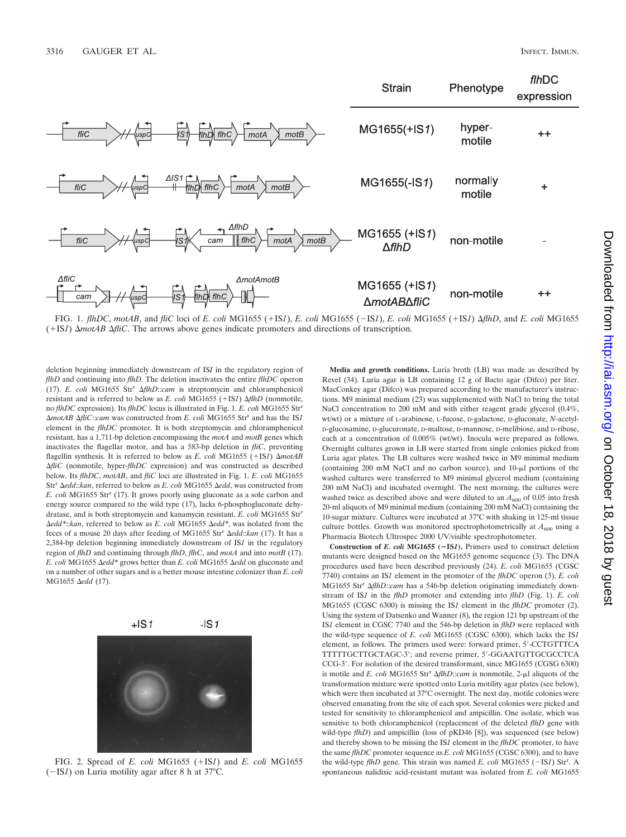

deletion beginning immediately downstream of IS*I* in the regulatory region of *flhD* and continuing into *flhD*. The deletion inactivates the entire *flhDC* operon (17). *E. coli* MG1655 Str<sup>r</sup> *flhD*::*cam* is streptomycin and chloramphenicol resistant and is referred to below as  $E$ . *coli* MG1655 (+IS*1*)  $\Delta f$ *hD* (nonmotile, no *flhDC* expression). Its *flhDC* locus is illustrated in Fig. 1. *E. coli* MG1655 Str<sup>r</sup> *motAB fliC*::*cam* was constructed from *E. coli* MG1655 Str<sup>r</sup> and has the IS*1* element in the *flhDC* promoter. It is both streptomycin and chloramphenicol resistant, has a 1,711-bp deletion encompassing the *motA* and *motB* genes which inactivates the flagellar motor, and has a 583-bp deletion in *fliC*, preventing flagellin synthesis. It is referred to below as *E. coli* MG1655 (+IS*1*)  $\Delta$ motAB *AfliC* (nonmotile, hyper-*flhDC* expression) and was constructed as described below. Its *flhDC*, *motAB*, and *fliC* loci are illustrated in Fig. 1. *E. coli* MG1655 Str<sup>r</sup>  $\Delta$ edd::*kan*, referred to below as *E. coli* MG1655  $\Delta$ edd, was constructed from *E. coli* MG1655 Str<sup>r</sup> (17). It grows poorly using gluconate as a sole carbon and energy source compared to the wild type (17), lacks 6-phosphogluconate dehydratase, and is both streptomycin and kanamycin resistant. *E. coli* MG1655 Str<sup>r</sup> *Δedd\*::kan*, referred to below as *E. coli* MG1655 *Δedd\**, was isolated from the feces of a mouse 20 days after feeding of MG1655 Str<sup>r</sup>  $\Delta edd::kan$  (17). It has a 2,384-bp deletion beginning immediately downstream of IS*1* in the regulatory region of *flhD* and continuing through *flhD*, *flhC*, and *motA* and into *motB* (17). *E. coli* MG1655 Δedd\* grows better than *E. coli* MG1655 Δedd on gluconate and on a number of other sugars and is a better mouse intestine colonizer than *E. coli* MG1655 Δedd (17).



FIG. 2. Spread of *E. coli* MG1655 (+IS*1*) and *E. coli* MG1655  $(-IS1)$  on Luria motility agar after 8 h at 37 $^{\circ}$ C.

**Media and growth conditions.** Luria broth (LB) was made as described by Revel (34). Luria agar is LB containing 12 g of Bacto agar (Difco) per liter. MacConkey agar (Difco) was prepared according to the manufacturer's instructions. M9 minimal medium (23) was supplemented with NaCl to bring the total NaCl concentration to 200 mM and with either reagent grade glycerol (0.4%, wt/wt) or a mixture of L-arabinose, L-fucose, D-galactose, D-gluconate, *N*-acetyl-D-glucosamine, D-glucuronate, D-maltose, D-mannose, D-melibiose, and D-ribose, each at a concentration of 0.005% (wt/wt). Inocula were prepared as follows. Overnight cultures grown in LB were started from single colonies picked from Luria agar plates. The LB cultures were washed twice in M9 minimal medium (containing  $200 \text{ mM NaCl}$  and no carbon source), and  $10-\mu l$  portions of the washed cultures were transferred to M9 minimal glycerol medium (containing 200 mM NaCl) and incubated overnight. The next morning, the cultures were washed twice as described above and were diluted to an  $A_{600}$  of 0.05 into fresh 20-ml aliquots of M9 minimal medium (containing 200 mM NaCl) containing the 10-sugar mixture. Cultures were incubated at 37°C with shaking in 125-ml tissue culture bottles. Growth was monitored spectrophotometrically at  $A_{600}$  using a Pharmacia Biotech Ultrospec 2000 UV/visible spectrophotometer.

**Construction of** *E. coli* **MG1655 (IS***1***).** Primers used to construct deletion mutants were designed based on the MG1655 genome sequence (3). The DNA procedures used have been described previously (24). *E. coli* MG1655 (CGSC 7740) contains an IS*1* element in the promoter of the *flhDC* operon (3). *E. coli* MG1655 Str<sup>r</sup> AflhD::*cam* has a 546-bp deletion originating immediately downstream of IS*1* in the *flhD* promoter and extending into *flhD* (Fig. 1). *E. coli* MG1655 (CGSC 6300) is missing the IS*1* element in the *flhDC* promoter (2). Using the system of Datsenko and Wanner (8), the region 121 bp upstream of the IS*1* element in CGSC 7740 and the 546-bp deletion in *flhD* were replaced with the wild-type sequence of *E. coli* MG1655 (CGSC 6300), which lacks the IS*1* element, as follows. The primers used were: forward primer, 5-CCTGTTTCA TTTTTGCTTGCTAGC-3; and reverse primer, 5-GGAATGTTGCGCCTCA CCG-3. For isolation of the desired transformant, since MG1655 (CGSG 6300) is motile and *E. coli* MG1655 Str<sup>r</sup>  $\Delta f h D::cam$  is nonmotile, 2-µl aliquots of the transformation mixture were spotted onto Luria motility agar plates (see below), which were then incubated at 37°C overnight. The next day, motile colonies were observed emanating from the site of each spot. Several colonies were picked and tested for sensitivity to chloramphenicol and ampicillin. One isolate, which was sensitive to both chloramphenicol (replacement of the deleted *flhD* gene with wild-type  $f(hD)$  and ampicillin (loss of pKD46 [8]), was sequenced (see below) and thereby shown to be missing the IS*1* element in the *flhDC* promoter, to have the same *flhDC* promoter sequence as *E. coli* MG1655 (CGSC 6300), and to have the wild-type *flhD* gene. This strain was named *E. coli* MG1655 (-IS*1*) Str<sup>r</sup>. A spontaneous nalidixic acid-resistant mutant was isolated from *E. coli* MG1655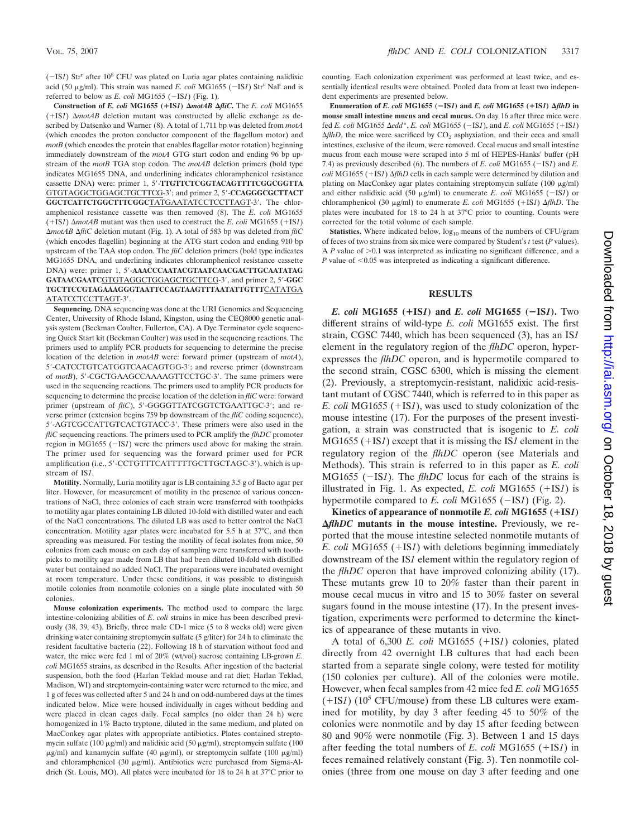$(-ISI)$  Str<sup>r</sup> after 10<sup>8</sup> CFU was plated on Luria agar plates containing nalidixic acid (50  $\mu$ g/ml). This strain was named *E. coli* MG1655 ( $-IS1$ ) Str<sup>r</sup> Nal<sup>r</sup> and is referred to below as  $E.$  *coli* MG1655 ( $-IS1$ ) (Fig. 1).

**Construction of** *E. coli* **MG1655 (**-**IS***1***)** *motAB fliC***.** The *E. coli* MG1655  $(+1S<sub>I</sub>)$   $\Delta$ *motAB* deletion mutant was constructed by allelic exchange as described by Datsenko and Warner (8). A total of 1,711 bp was deleted from *motA* (which encodes the proton conductor component of the flagellum motor) and *motB* (which encodes the protein that enables flagellar motor rotation) beginning immediately downstream of the *motA* GTG start codon and ending 96 bp upstream of the *motB* TGA stop codon. The *motAB* deletion primers (bold type indicates MG1655 DNA, and underlining indicates chloramphenicol resistance cassette DNA) were: primer 1, 5-**TTGTTCTCGGTACAGTTTTCGGCGGTTA** GTGTAGGCTGGAGCTGCTTCG-3; and primer 2, 5-**CCAGGGCGCTTACT** GGCTCATTCTGGCTTTCGGCTATGAATATCCTCCTTAGT-3'. The chloramphenicol resistance cassette was then removed (8). The *E. coli* MG1655  $(+1S<sub>I</sub>)$   $\Delta$ *motAB* mutant was then used to construct the *E. coli* MG1655 (+IS*1*) *motAB fliC* deletion mutant (Fig. 1). A total of 583 bp was deleted from *fliC* (which encodes flagellin) beginning at the ATG start codon and ending 910 bp upstream of the TAA stop codon. The *fliC* deletion primers (bold type indicates MG1655 DNA, and underlining indicates chloramphenicol resistance cassette DNA) were: primer 1, 5-**AAACCCAATACGTAATCAACGACTTGCAATATAG** GATAACGAATCGTGTAGGCTGGAGCTGCTTCG-3', and primer 2, 5'-GGC **TGCTTCCGTAGAAAGGGTAATTCCAGTAAGTTTAATATTGTTT**CATATGA ATATCCTCCTTAGT-3'.

**Sequencing.** DNA sequencing was done at the URI Genomics and Sequencing Center, University of Rhode Island, Kingston, using the CEQ8000 genetic analysis system (Beckman Coulter, Fullerton, CA). A Dye Terminator cycle sequencing Quick Start kit (Beckman Coulter) was used in the sequencing reactions. The primers used to amplify PCR products for sequencing to determine the precise location of the deletion in *motAB* were: forward primer (upstream of *motA*), 5-CATCCTGTCATGGTCAACAGTGG-3; and reverse primer (downstream of *motB*), 5'-CGCTGAAGCCAAAAGTTCCTGC-3'. The same primers were used in the sequencing reactions. The primers used to amplify PCR products for sequencing to determine the precise location of the deletion in *fliC* were: forward primer (upstream of *fliC*), 5'-GGGGTTATCGGTCTGAATTGC-3'; and reverse primer (extension begins 759 bp downstream of the *fliC* coding sequence), 5-AGTCGCCATTGTCACTGTACC-3. These primers were also used in the *fliC* sequencing reactions. The primers used to PCR amplify the *flhDC* promoter region in MG1655  $(-ISI)$  were the primers used above for making the strain. The primer used for sequencing was the forward primer used for PCR amplification (i.e., 5'-CCTGTTTCATTTTTGCTTGCTAGC-3'), which is upstream of IS*1*.

**Motility.** Normally, Luria motility agar is LB containing 3.5 g of Bacto agar per liter. However, for measurement of motility in the presence of various concentrations of NaCl, three colonies of each strain were transferred with toothpicks to motility agar plates containing LB diluted 10-fold with distilled water and each of the NaCl concentrations. The diluted LB was used to better control the NaCl concentration. Motility agar plates were incubated for 5.5 h at 37°C, and then spreading was measured. For testing the motility of fecal isolates from mice, 50 colonies from each mouse on each day of sampling were transferred with toothpicks to motility agar made from LB that had been diluted 10-fold with distilled water but contained no added NaCl. The preparations were incubated overnight at room temperature. Under these conditions, it was possible to distinguish motile colonies from nonmotile colonies on a single plate inoculated with 50 colonies.

**Mouse colonization experiments.** The method used to compare the large intestine-colonizing abilities of *E*. *coli* strains in mice has been described previously (38, 39, 43). Briefly, three male CD-1 mice (5 to 8 weeks old) were given drinking water containing streptomycin sulfate (5 g/liter) for 24 h to eliminate the resident facultative bacteria (22). Following 18 h of starvation without food and water, the mice were fed 1 ml of 20% (wt/vol) sucrose containing LB-grown *E. coli* MG1655 strains, as described in the Results. After ingestion of the bacterial suspension, both the food (Harlan Teklad mouse and rat diet; Harlan Teklad, Madison, WI) and streptomycin-containing water were returned to the mice, and 1 g of feces was collected after 5 and 24 h and on odd-numbered days at the times indicated below. Mice were housed individually in cages without bedding and were placed in clean cages daily. Fecal samples (no older than 24 h) were homogenized in 1% Bacto tryptone, diluted in the same medium, and plated on MacConkey agar plates with appropriate antibiotics. Plates contained streptomycin sulfate (100  $\mu$ g/ml) and nalidixic acid (50  $\mu$ g/ml), streptomycin sulfate (100  $\mu$ g/ml) and kanamycin sulfate (40  $\mu$ g/ml), or streptomycin sulfate (100  $\mu$ g/ml) and chloramphenicol (30  $\mu$ g/ml). Antibiotics were purchased from Sigma-Aldrich (St. Louis, MO). All plates were incubated for 18 to 24 h at 37°C prior to

counting. Each colonization experiment was performed at least twice, and essentially identical results were obtained. Pooled data from at least two independent experiments are presented below.

**Enumeration of** *E. coli* **MG1655 (IS***1***) and** *E. coli* **MG1655 (**-**IS***1***)** *flhD* **in mouse small intestine mucus and cecal mucus.** On day 16 after three mice were fed *E. coli* MG1655  $\Delta$ *edd*<sup>\*</sup>, *E. coli* MG1655 (-IS*1*), and *E. coli* MG1655 (+IS*1*)  $f_A f_A f_B$ , the mice were sacrificed by  $CO_2$  asphyxiation, and their ceca and small intestines, exclusive of the ileum, were removed. Cecal mucus and small intestine mucus from each mouse were scraped into 5 ml of HEPES-Hanks' buffer (pH 7.4) as previously described (6). The numbers of *E. coli* MG1655 ( $-IS1$ ) and *E.*  $\frac{1}{2}$  *coli* MG1655 (+IS*1*)  $\Delta f$ *hD* cells in each sample were determined by dilution and plating on MacConkey agar plates containing streptomycin sulfate  $(100 \mu g/ml)$ and either nalidixic acid (50  $\mu$ g/ml) to enumerate *E. coli* MG1655 (-IS*1*) or chloramphenicol (30 μg/ml) to enumerate *E. coli* MG1655 (+IS*1*) Δ*flhD*. The plates were incubated for 18 to 24 h at 37°C prior to counting. Counts were corrected for the total volume of each sample.

**Statistics.** Where indicated below,  $log_{10}$  means of the numbers of CFU/gram of feces of two strains from six mice were compared by Student's *t* test (*P* values). A  $P$  value of  $>0.1$  was interpreted as indicating no significant difference, and a *P* value of  $< 0.05$  was interpreted as indicating a significant difference.

#### **RESULTS**

*E. coli* **MG1655 (**-**IS***1***) and** *E. coli* **MG1655 (IS***1***).** Two different strains of wild-type *E. coli* MG1655 exist. The first strain, CGSC 7440, which has been sequenced (3), has an IS*1* element in the regulatory region of the *flhDC* operon, hyperexpresses the *flhDC* operon, and is hypermotile compared to the second strain, CGSC 6300, which is missing the element (2). Previously, a streptomycin-resistant, nalidixic acid-resistant mutant of CGSC 7440, which is referred to in this paper as *E. coli* MG1655 (+IS*1*), was used to study colonization of the mouse intestine (17). For the purposes of the present investigation, a strain was constructed that is isogenic to *E. coli*  $MG1655 (+IS1)$  except that it is missing the IS1 element in the regulatory region of the *flhDC* operon (see Materials and Methods). This strain is referred to in this paper as *E. coli* MG1655 ( $-IS1$ ). The *flhDC* locus for each of the strains is illustrated in Fig. 1. As expected,  $E$ . *coli* MG1655 ( $+$ IS*1*) is hypermotile compared to *E. coli* MG1655 ( $-IS1$ ) (Fig. 2).

**Kinetics of appearance of nonmotile** *E. coli* **MG1655 (**-**IS***1***)**  $\Delta f$ *thDC* mutants in the mouse intestine. Previously, we reported that the mouse intestine selected nonmotile mutants of *E. coli* MG1655 (+IS*1*) with deletions beginning immediately downstream of the IS*1* element within the regulatory region of the *flhDC* operon that have improved colonizing ability (17). These mutants grew 10 to 20% faster than their parent in mouse cecal mucus in vitro and 15 to 30% faster on several sugars found in the mouse intestine (17). In the present investigation, experiments were performed to determine the kinetics of appearance of these mutants in vivo.

A total of 6,300 *E. coli* MG1655 (+IS*1*) colonies, plated directly from 42 overnight LB cultures that had each been started from a separate single colony, were tested for motility (150 colonies per culture). All of the colonies were motile. However, when fecal samples from 42 mice fed *E. coli* MG1655  $(+ISI)$  (10<sup>5</sup> CFU/mouse) from these LB cultures were examined for motility, by day 3 after feeding 45 to 50% of the colonies were nonmotile and by day 15 after feeding between 80 and 90% were nonmotile (Fig. 3). Between 1 and 15 days after feeding the total numbers of  $E$ . *coli* MG1655 (+IS*1*) in feces remained relatively constant (Fig. 3). Ten nonmotile colonies (three from one mouse on day 3 after feeding and one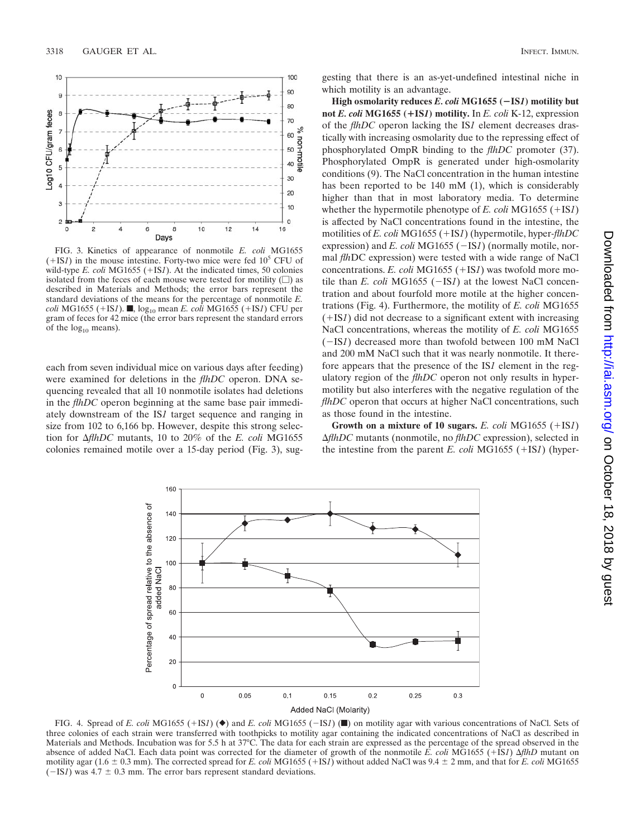

FIG. 3. Kinetics of appearance of nonmotile *E. coli* MG1655  $(+IS1)$  in the mouse intestine. Forty-two mice were fed 10<sup>5</sup> CFU of wild-type  $E.$  *coli* MG1655 (+IS*1*). At the indicated times, 50 colonies isolated from the feces of each mouse were tested for motility  $(\square)$  as described in Materials and Methods; the error bars represent the standard deviations of the means for the percentage of nonmotile *E. coli* MG1655 (+IS*1*). ■, log<sub>10</sub> mean *E. coli* MG1655 (+IS*1*) CFU per gram of feces for 42 mice (the error bars represent the standard errors of the  $log_{10}$  means).

each from seven individual mice on various days after feeding) were examined for deletions in the *flhDC* operon. DNA sequencing revealed that all 10 nonmotile isolates had deletions in the *flhDC* operon beginning at the same base pair immediately downstream of the IS*1* target sequence and ranging in size from 102 to 6,166 bp. However, despite this strong selection for  $\Delta f$ *hDC* mutants, 10 to 20% of the *E. coli* MG1655 colonies remained motile over a 15-day period (Fig. 3), suggesting that there is an as-yet-undefined intestinal niche in which motility is an advantage.

**High osmolarity reduces** *E. coli* **MG1655 (IS***1***) motility but not** *E. coli* **MG1655 (**-**IS***1***) motility.** In *E. coli* K-12, expression of the *flhDC* operon lacking the IS*1* element decreases drastically with increasing osmolarity due to the repressing effect of phosphorylated OmpR binding to the *flhDC* promoter (37). Phosphorylated OmpR is generated under high-osmolarity conditions (9). The NaCl concentration in the human intestine has been reported to be 140 mM (1), which is considerably higher than that in most laboratory media. To determine whether the hypermotile phenotype of *E. coli* MG1655 ( $+$ IS*1*) is affected by NaCl concentrations found in the intestine, the motilities of *E. coli* MG1655 (+IS*1*) (hypermotile, hyper-*flhDC* expression) and *E. coli* MG1655 (-IS*1*) (normally motile, normal *flh*DC expression) were tested with a wide range of NaCl concentrations. *E. coli* MG1655 (+IS*1*) was twofold more motile than *E. coli* MG1655  $(-ISI)$  at the lowest NaCl concentration and about fourfold more motile at the higher concentrations (Fig. 4). Furthermore, the motility of *E. coli* MG1655  $(+ISI)$  did not decrease to a significant extent with increasing NaCl concentrations, whereas the motility of *E. coli* MG1655 (-IS*1*) decreased more than twofold between 100 mM NaCl and 200 mM NaCl such that it was nearly nonmotile. It therefore appears that the presence of the IS*1* element in the regulatory region of the *flhDC* operon not only results in hypermotility but also interferes with the negative regulation of the *flhDC* operon that occurs at higher NaCl concentrations, such as those found in the intestine.

**Growth on a mixture of 10 sugars.**  $E$ . coli MG1655 ( $+$ IS*1*) *flhDC* mutants (nonmotile, no *flhDC* expression), selected in the intestine from the parent *E. coli* MG1655 ( $+$ IS*1*) (hyper-



FIG. 4. Spread of *E. coli* MG1655 (+IS*1*) ( $\bullet$ ) and *E. coli* MG1655 (-IS*1*) ( $\bullet$ ) on motility agar with various concentrations of NaCl. Sets of three colonies of each strain were transferred with toothpicks to motility agar containing the indicated concentrations of NaCl as described in Materials and Methods. Incubation was for 5.5 h at 37°C. The data for each strain are expressed as the percentage of the spread observed in the absence of added NaCl. Each data point was corrected for the diameter of growth of the nonmotile *E. coli* MG1655 (+IS*1*)  $\Delta f h D$  mutant on motility agar ( $1.6 \pm 0.3$  mm). The corrected spread for *E. coli* MG1655 (+IS*1*) without added NaCl was 9.4  $\pm$  2 mm, and that for *E. coli* MG1655  $(-ISI)$  was 4.7  $\pm$  0.3 mm. The error bars represent standard deviations.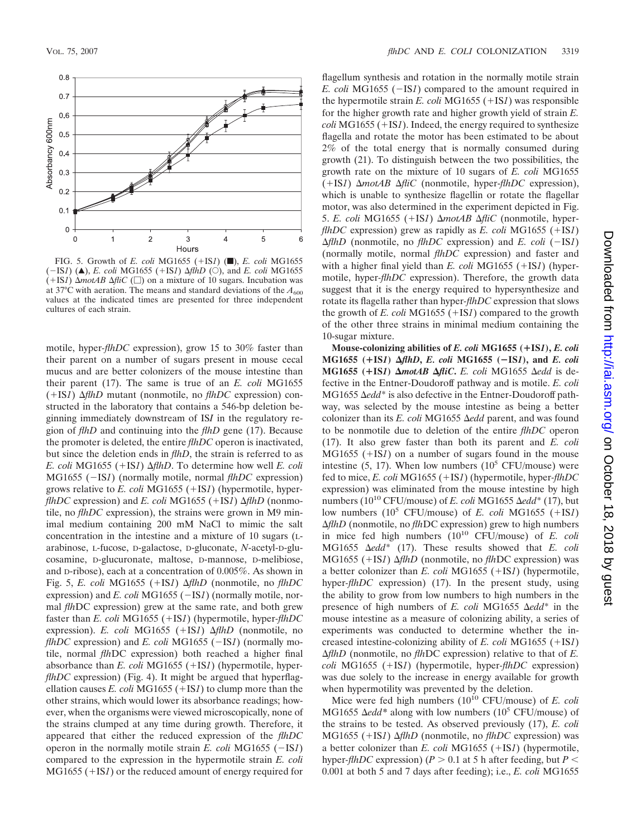

FIG. 5. Growth of *E. coli* MG1655 (+IS*1*) ( $\blacksquare$ ), *E. coli* MG1655  $(-ISI)$  (A), *E. coli* MG1655 (+IS*1*)  $\Delta f$ *h* $D$  (O), and *E. coli* MG1655  $(+ISI)$   $\Delta$ *motAB*  $\Delta$ *fliC* ( $\Box$ ) on a mixture of 10 sugars. Incubation was at 37°C with aeration. The means and standard deviations of the  $A_{600}$ values at the indicated times are presented for three independent cultures of each strain.

motile, hyper*-flhDC* expression), grow 15 to 30% faster than their parent on a number of sugars present in mouse cecal mucus and are better colonizers of the mouse intestine than their parent (17). The same is true of an *E. coli* MG1655  $(HSI)$   $\Delta f$ *hD* mutant (nonmotile, no *flhDC* expression) constructed in the laboratory that contains a 546-bp deletion beginning immediately downstream of IS*I* in the regulatory region of *flhD* and continuing into the *flhD* gene (17). Because the promoter is deleted, the entire *flhDC* operon is inactivated, but since the deletion ends in *flhD*, the strain is referred to as *E. coli* MG1655 (+IS*1*)  $\Delta f$ *hD*. To determine how well *E. coli* MG1655 (-IS*1*) (normally motile, normal *flhDC* expression) grows relative to *E. coli* MG1655 (+IS*1*) (hypermotile, hyper*flhDC* expression) and *E. coli* MG1655 (+IS*1*)  $\Delta f$ *lhD* (nonmotile, no *flhDC* expression), the strains were grown in M9 minimal medium containing 200 mM NaCl to mimic the salt concentration in the intestine and a mixture of 10 sugars (Larabinose, L-fucose, D-galactose, D-gluconate, *N*-acetyl-D-glucosamine, D-glucuronate, maltose, D-mannose, D-melibiose, and D-ribose), each at a concentration of 0.005%. As shown in Fig. 5, *E. coli* MG1655 (+IS*1*)  $\Delta f$ *hD* (nonmotile, no  $f$ *hDC* expression) and *E. coli* MG1655 (-IS*1*) (normally motile, normal *flh*DC expression) grew at the same rate, and both grew faster than *E. coli* MG1655 (+IS*1*) (hypermotile, hyper-flhDC expression). *E. coli* MG1655 (+IS*1*)  $\Delta f$ *hD* (nonmotile, no *flhDC* expression) and *E. coli* MG1655 ( $-IS1$ ) (normally motile, normal *flh*DC expression) both reached a higher final absorbance than *E. coli* MG1655 (+IS*1*) (hypermotile, hyper*flhDC* expression) (Fig. 4). It might be argued that hyperflagellation causes *E. coli* MG1655 ( $+$ IS*1*) to clump more than the other strains, which would lower its absorbance readings; however, when the organisms were viewed microscopically, none of the strains clumped at any time during growth. Therefore, it appeared that either the reduced expression of the *flhDC* operon in the normally motile strain  $E$ , coli MG1655 ( $-ISI$ ) compared to the expression in the hypermotile strain *E. coli*  $MG1655 (+IS1)$  or the reduced amount of energy required for

flagellum synthesis and rotation in the normally motile strain *E. coli* MG1655  $(-ISI)$  compared to the amount required in the hypermotile strain  $E$ . *coli* MG1655 (+IS*1*) was responsible for the higher growth rate and higher growth yield of strain *E.*  $\text{coli}$  MG1655 ( $+$ IS*1*). Indeed, the energy required to synthesize flagella and rotate the motor has been estimated to be about 2% of the total energy that is normally consumed during growth (21). To distinguish between the two possibilities, the growth rate on the mixture of 10 sugars of *E. coli* MG1655  $(HSI)$   $\Delta motAB$  $\Delta fliC$  (nonmotile, hyper-*flhDC* expression), which is unable to synthesize flagellin or rotate the flagellar motor, was also determined in the experiment depicted in Fig. 5. *E. coli* MG1655 (+IS*1*) Δ*motAB* Δ*fliC* (nonmotile, hyper*flhDC* expression) grew as rapidly as *E. coli* MG1655 ( $+$ IS*1*)  $\Delta f$ *hD* (nonmotile, no *flhDC* expression) and *E. coli* ( $-ISI$ ) (normally motile, normal *flhDC* expression) and faster and with a higher final yield than *E. coli* MG1655 (+IS*1*) (hypermotile, hyper*-flhDC* expression). Therefore, the growth data suggest that it is the energy required to hypersynthesize and rotate its flagella rather than hyper*-flhDC* expression that slows the growth of  $E$ . *coli* MG1655 (+IS*1*) compared to the growth of the other three strains in minimal medium containing the 10-sugar mixture.

**Mouse-colonizing abilities of** *E. coli* **MG1655 (**-**IS***1***),** *E. coli* **MG1655 (**-**IS***1***)** *flhD***,** *E. coli* **MG1655 (IS***1***), and** *E. coli* **MG1655 (+IS***1***)** *∆motAB ∆fliC***.** *E. coli* **MG1655** *∆edd* **is de**fective in the Entner-Doudoroff pathway and is motile. *E. coli* MG1655 Δedd<sup>\*</sup> is also defective in the Entner-Doudoroff pathway, was selected by the mouse intestine as being a better colonizer than its *E. coli* MG1655  $\Delta$ *edd* parent, and was found to be nonmotile due to deletion of the entire *flhDC* operon (17). It also grew faster than both its parent and *E. coli*  $MG1655$  ( $+IS1$ ) on a number of sugars found in the mouse intestine (5, 17). When low numbers ( $10^5$  CFU/mouse) were fed to mice, *E. coli* MG1655 (+IS*1*) (hypermotile, hyper-flhDC expression) was eliminated from the mouse intestine by high numbers ( $10^{10}$  CFU/mouse) of *E. coli* MG1655  $\Delta$ *edd*\* (17), but low numbers  $(10^5 \text{ CFU/mouse})$  of *E. coli* MG1655  $(+1\text{S1})$ *ΔflhD* (nonmotile, no *flhDC* expression) grew to high numbers in mice fed high numbers (1010 CFU/mouse) of *E. coli* MG1655  $\Delta edd^*$  (17). These results showed that *E. coli* MG1655 (+IS*1*) Δ*flhD* (nonmotile, no *flhDC* expression) was a better colonizer than  $E$ . *coli* MG1655 (+IS*1*) (hypermotile, hyper*-flhDC* expression) (17). In the present study, using the ability to grow from low numbers to high numbers in the presence of high numbers of *E. coli* MG1655  $\Delta$ *edd*\* in the mouse intestine as a measure of colonizing ability, a series of experiments was conducted to determine whether the increased intestine-colonizing ability of  $E$ . *coli* MG1655 ( $+$ IS*1*) *flhD* (nonmotile, no *flh*DC expression) relative to that of *E. coli* MG1655 (+IS*1*) (hypermotile, hyper-*flhDC* expression) was due solely to the increase in energy available for growth when hypermotility was prevented by the deletion.

Mice were fed high numbers ( $10^{10}$  CFU/mouse) of *E. coli* MG1655  $\Delta$ *edd\** along with low numbers (10<sup>5</sup> CFU/mouse) of the strains to be tested. As observed previously (17), *E. coli*  $MG1655$  (+IS*1*)  $\Delta f$ *hD* (nonmotile, no *flhDC* expression) was a better colonizer than  $E$ . *coli* MG1655 (+IS*1*) (hypermotile, hyper-*flhDC* expression) ( $P > 0.1$  at 5 h after feeding, but  $P <$ 0.001 at both 5 and 7 days after feeding); i.e., *E. coli* MG1655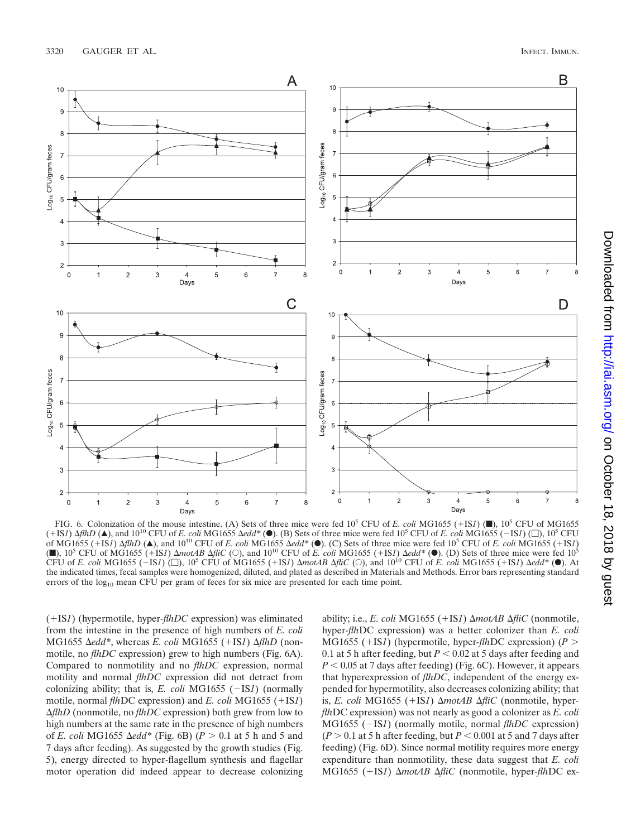

FIG. 6. Colonization of the mouse intestine. (A) Sets of three mice were fed  $10^5$  CFU of *E. coli* MG1655 (+IS*1*) ( $\blacksquare$ ),  $10^5$  CFU of MG1655  $(+1S1)$   $\Delta$ *flhD* ( $\triangle$ ), and 10<sup>10</sup> CFU of *E. coli* MG1655  $\Delta$ *edd*\* ( $\odot$ ). (B) Sets of three mice were fed 10<sup>5</sup> CFU of *E. coli* MG1655 (-1S1) (...), 10<sup>5</sup> CFU of MG1655 (+IS*1*)  $\Delta f$ *hD* ( $\Delta$ ), and 10<sup>10</sup> CFU of *E. coli* MG1655  $\Delta e$ *dd*<sup>\*</sup> ( $\bullet$ ). (C) Sets of three mice were fed 10<sup>5</sup> CFU of *E. coli* MG1655 (+IS*1*) ( $\blacksquare$ ), 10<sup>5</sup> CFU of MG1655 ( $+$ 1S*1*)  $\Delta$ *motAB*  $\Delta$ *fliC* ( $\bigcirc$ ), and 10<sup>10</sup> CFU of *E. coli* MG1655 (+1S*1*)  $\Delta$ *edd\** ( $\blacksquare$ ). (D) Sets of three mice were fed 10<sup>5</sup> CFU of *E. coli* MG1655 ( $-1S1$ ) ( $\Box$ ), 10<sup>5</sup> CFU of MG1655 ( $+1S1$ )  $\Delta modAB$   $\Delta filC$  ( $\Box$ ), and 10<sup>10</sup> CFU of *E. coli* MG1655 ( $+1S1$ )  $\Delta edd*$  ( $\bullet$ ). At the indicated times, fecal samples were homogenized, diluted, and plated as described in Materials and Methods. Error bars representing standard errors of the  $log_{10}$  mean CFU per gram of feces for six mice are presented for each time point.

(IS*1*) (hypermotile, hyper*-flhDC* expression) was eliminated from the intestine in the presence of high numbers of *E. coli*  $MG1655 \text{ } \Delta edd^*$ , whereas *E. coli*  $MG1655 (+IS1) \Delta flhD$  (nonmotile, no *flhDC* expression) grew to high numbers (Fig. 6A). Compared to nonmotility and no *flhDC* expression, normal motility and normal *flhDC* expression did not detract from colonizing ability; that is, *E. coli* MG1655 ( $-ISI$ ) (normally motile, normal *flh*DC expression) and *E. coli* MG1655 (+IS*1*) *flhD* (nonmotile, no *flhDC* expression) both grew from low to high numbers at the same rate in the presence of high numbers of *E. coli* MG1655  $\Delta$ *edd*<sup>\*</sup> (Fig. 6B) ( $P > 0.1$  at 5 h and 5 and 7 days after feeding). As suggested by the growth studies (Fig. 5), energy directed to hyper-flagellum synthesis and flagellar motor operation did indeed appear to decrease colonizing ability; i.e., *E. coli* MG1655 (+IS*1*)  $\Delta$ *motAB*  $\Delta$ *fliC* (nonmotile, hyper*-flh*DC expression) was a better colonizer than *E. coli* MG1655 (+IS*1*) (hypermotile, hyper-*flh*DC expression) ( $P >$ 0.1 at 5 h after feeding, but  $P < 0.02$  at 5 days after feeding and  $P < 0.05$  at 7 days after feeding) (Fig. 6C). However, it appears that hyperexpression of *flhDC*, independent of the energy expended for hypermotility, also decreases colonizing ability; that is, *E. coli* MG1655 (+IS*1*) Δ*motAB* Δ*fliC* (nonmotile, hyper*flh*DC expression) was not nearly as good a colonizer as *E. coli* MG1655 (-IS*1*) (normally motile, normal *flhDC* expression)  $(P > 0.1$  at 5 h after feeding, but  $P < 0.001$  at 5 and 7 days after feeding) (Fig. 6D). Since normal motility requires more energy expenditure than nonmotility, these data suggest that *E. coli* MG1655 (+IS*1*) Δ*motAB* Δ*fliC* (nonmotile, hyper-*flhDC* ex-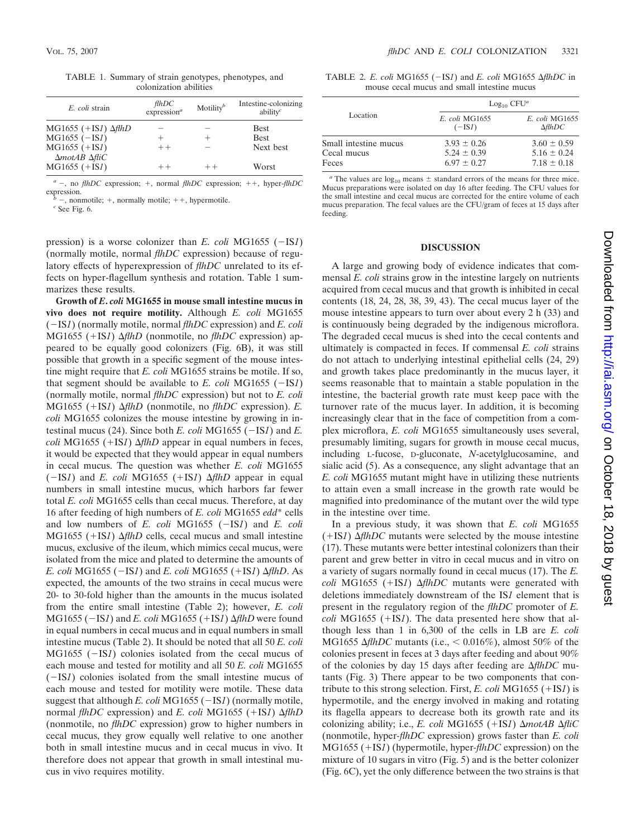TABLE 1. Summary of strain genotypes, phenotypes, and colonization abilities

| E. coli strain                                  | fthDC<br>expression <sup>a</sup> | Motility <sup>b</sup> | Intestine-colonizing<br>ability $c$ |
|-------------------------------------------------|----------------------------------|-----------------------|-------------------------------------|
| MG1655 $(+$ IS1) $\Delta f$ thD                 |                                  |                       | <b>Best</b>                         |
| $MG1655 (-ISI)$                                 |                                  |                       | <b>Best</b>                         |
| $MG1655 (+IS1)$<br>$\Delta$ motAB $\Delta$ fliC | $++$                             |                       | Next best                           |
| $MG1655 (+IS1)$                                 | $+ +$                            | $_{++}$               | Worst                               |

 $a^a$  –, no *flhDC* expression; +, normal *flhDC* expression; ++, hyper-*flhDC* expression.

 $b -$ , nonmotile; +, normally motile; ++, hypermotile. *c* See Fig. 6.

pression) is a worse colonizer than *E. coli* MG1655 ( $-ISI$ ) (normally motile, normal *flhDC* expression) because of regulatory effects of hyperexpression of *flhDC* unrelated to its effects on hyper-flagellum synthesis and rotation. Table 1 summarizes these results.

**Growth of** *E***.** *coli* **MG1655 in mouse small intestine mucus in vivo does not require motility.** Although *E. coli* MG1655 (IS*1*) (normally motile, normal *flhDC* expression) and *E. coli*  $MG1655$  (+IS*1*)  $\Delta f$ *hD* (nonmotile, no *flhDC* expression) appeared to be equally good colonizers (Fig. 6B), it was still possible that growth in a specific segment of the mouse intestine might require that *E. coli* MG1655 strains be motile. If so, that segment should be available to *E. coli* MG1655 ( $-ISI$ ) (normally motile, normal *flhDC* expression) but not to *E. coli* MG1655 (+IS*1*)  $\Delta f$ *hD* (nonmotile, no *flhDC* expression). *E. coli* MG1655 colonizes the mouse intestine by growing in intestinal mucus (24). Since both  $E$ . *coli* MG1655 ( $-ISI$ ) and  $E$ . *coli* MG1655 (+IS*1*)  $\Delta f$ *hD* appear in equal numbers in feces, it would be expected that they would appear in equal numbers in cecal mucus. The question was whether *E. coli* MG1655  $(-ISI)$  and *E. coli* MG1655 (+IS*1*)  $\Delta f$ *hD* appear in equal numbers in small intestine mucus, which harbors far fewer total *E. coli* MG1655 cells than cecal mucus. Therefore, at day 16 after feeding of high numbers of *E. coli* MG1655 *edd*\* cells and low numbers of  $E$ . *coli* MG1655 ( $-IS1$ ) and  $E$ . *coli*  $MG1655$  (+IS*1*)  $\Delta f$ *hD* cells, cecal mucus and small intestine mucus, exclusive of the ileum, which mimics cecal mucus, were isolated from the mice and plated to determine the amounts of *E. coli* MG1655 ( $-IS1$ ) and *E. coli* MG1655 ( $+IS1$ )  $\Delta f$ *hD.* As expected, the amounts of the two strains in cecal mucus were 20- to 30-fold higher than the amounts in the mucus isolated from the entire small intestine (Table 2); however, *E. coli*  $MG1655$  ( $-ISI$ ) and *E. coli* MG1655 ( $+ISI$ )  $\Delta f$ *lhD* were found in equal numbers in cecal mucus and in equal numbers in small intestine mucus (Table 2). It should be noted that all 50 *E. coli*  $MG1655$  ( $-ISI$ ) colonies isolated from the cecal mucus of each mouse and tested for motility and all 50 *E. coli* MG1655  $(-ISI)$  colonies isolated from the small intestine mucus of each mouse and tested for motility were motile. These data suggest that although *E. coli* MG1655 ( $-IS1$ ) (normally motile, normal *flhDC* expression) and *E. coli* MG1655 (+IS*1*)  $\Delta f$ *lhD* (nonmotile, no *flhDC* expression) grow to higher numbers in cecal mucus, they grow equally well relative to one another both in small intestine mucus and in cecal mucus in vivo. It therefore does not appear that growth in small intestinal mucus in vivo requires motility.

TABLE 2. *E. coli* MG1655  $(-ISI)$  and *E. coli* MG1655  $\Delta f$ *lhDC* in mouse cecal mucus and small intestine mucus

| Location                                      | $Log_{10}$ CFU <sup>a</sup>                           |                                                       |  |
|-----------------------------------------------|-------------------------------------------------------|-------------------------------------------------------|--|
|                                               | E. coli MG1655<br>$(-ISI)$                            | E. coli MG1655<br>$\Delta f$ thDC                     |  |
| Small intestine mucus<br>Cecal mucus<br>Feces | $3.93 \pm 0.26$<br>$5.24 \pm 0.39$<br>$6.97 \pm 0.27$ | $3.60 \pm 0.59$<br>$5.16 \pm 0.24$<br>$7.18 \pm 0.18$ |  |

<sup>*a*</sup> The values are  $log_{10}$  means  $\pm$  standard errors of the means for three mice. Mucus preparations were isolated on day 16 after feeding. The CFU values for the small intestine and cecal mucus are corrected for the entire volume of each mucus preparation. The fecal values are the CFU/gram of feces at 15 days after feeding.

#### **DISCUSSION**

A large and growing body of evidence indicates that commensal *E. coli* strains grow in the intestine largely on nutrients acquired from cecal mucus and that growth is inhibited in cecal contents (18, 24, 28, 38, 39, 43). The cecal mucus layer of the mouse intestine appears to turn over about every 2 h (33) and is continuously being degraded by the indigenous microflora. The degraded cecal mucus is shed into the cecal contents and ultimately is compacted in feces. If commensal *E. coli* strains do not attach to underlying intestinal epithelial cells (24, 29) and growth takes place predominantly in the mucus layer, it seems reasonable that to maintain a stable population in the intestine, the bacterial growth rate must keep pace with the turnover rate of the mucus layer. In addition, it is becoming increasingly clear that in the face of competition from a complex microflora, *E. coli* MG1655 simultaneously uses several, presumably limiting, sugars for growth in mouse cecal mucus, including L-fucose, D-gluconate, *N*-acetylglucosamine, and sialic acid (5). As a consequence, any slight advantage that an *E. coli* MG1655 mutant might have in utilizing these nutrients to attain even a small increase in the growth rate would be magnified into predominance of the mutant over the wild type in the intestine over time.

In a previous study, it was shown that *E. coli* MG1655  $(+1S<sub>I</sub>)$   $\Delta f$ *hDC* mutants were selected by the mouse intestine (17). These mutants were better intestinal colonizers than their parent and grew better in vitro in cecal mucus and in vitro on a variety of sugars normally found in cecal mucus (17). The *E. coli* MG1655 (+IS*1*)  $\Delta f$ *hDC* mutants were generated with deletions immediately downstream of the IS*1* element that is present in the regulatory region of the *flhDC* promoter of *E. coli* MG1655 ( $+$ IS*1*). The data presented here show that although less than 1 in 6,300 of the cells in LB are *E. coli* MG1655  $\Delta f$ *hDC* mutants (i.e., < 0.016%), almost 50% of the colonies present in feces at 3 days after feeding and about 90% of the colonies by day 15 days after feeding are *flhDC* mutants (Fig. 3) There appear to be two components that contribute to this strong selection. First, *E. coli* MG1655  $(+$ IS*1*) is hypermotile, and the energy involved in making and rotating its flagella appears to decrease both its growth rate and its colonizing ability; i.e., *E. coli* MG1655 (+IS*1*)  $\Delta$ motAB  $\Delta$ fliC (nonmotile, hyper*-flhDC* expression) grows faster than *E. coli* MG1655 (+IS*1*) (hypermotile, hyper-*flhDC* expression) on the mixture of 10 sugars in vitro (Fig. 5) and is the better colonizer (Fig. 6C), yet the only difference between the two strains is that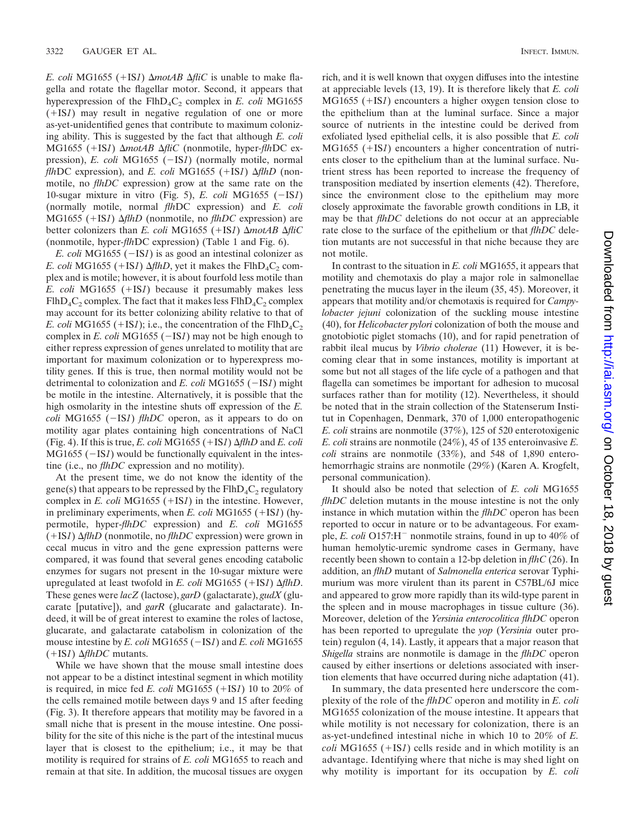*E. coli* MG1655 (+IS*1*)  $\Delta$ *motAB*  $\Delta$ *fliC* is unable to make flagella and rotate the flagellar motor. Second, it appears that hyperexpression of the FlhD<sub>4</sub>C<sub>2</sub> complex in *E. coli* MG1655  $(+ISI)$  may result in negative regulation of one or more as-yet-unidentified genes that contribute to maximum colonizing ability. This is suggested by the fact that although *E. coli* MG1655 (+IS*1*) Δ*motAB* Δ*fliC* (nonmotile, hyper-*flhDC* expression), *E. coli* MG1655 (-IS1) (normally motile, normal *flh*DC expression), and *E. coli* MG1655 (+IS*1*)  $\Delta f$ *hD* (nonmotile, no *flhDC* expression) grow at the same rate on the 10-sugar mixture in vitro (Fig. 5),  $E$ . *coli* MG1655 ( $-ISI$ ) (normally motile, normal *flh*DC expression) and *E. coli* MG1655 (+IS*1*) Δ*flhD* (nonmotile, no *flhDC* expression) are better colonizers than *E. coli* MG1655 (+IS*1*)  $\Delta$ *motAB*  $\Delta$ *fliC* (nonmotile, hyper*-flh*DC expression) (Table 1 and Fig. 6).

*E. coli* MG1655  $(-ISI)$  is as good an intestinal colonizer as *E. coli* MG1655 (+IS*1*)  $\Delta f$ *hD*, yet it makes the FlhD<sub>4</sub>C<sub>2</sub> complex and is motile; however, it is about fourfold less motile than *E. coli* MG1655 (+IS*1*) because it presumably makes less  $FlhD_4C_2$  complex. The fact that it makes less  $FlhD_4C_2$  complex may account for its better colonizing ability relative to that of *E. coli* MG1655 (+IS*1*); i.e., the concentration of the FlhD<sub>4</sub>C<sub>2</sub> complex in *E. coli* MG1655 ( $-IS1$ ) may not be high enough to either repress expression of genes unrelated to motility that are important for maximum colonization or to hyperexpress motility genes. If this is true, then normal motility would not be detrimental to colonization and *E. coli* MG1655 ( $-IS1$ ) might be motile in the intestine. Alternatively, it is possible that the high osmolarity in the intestine shuts off expression of the *E. coli* MG1655 ( $-ISI$ ) *flhDC* operon, as it appears to do on motility agar plates containing high concentrations of NaCl (Fig. 4). If this is true, *E. coli* MG1655 (+IS*1*)  $\Delta f$ *hD* and *E. coli*  $MG1655$  ( $-IS1$ ) would be functionally equivalent in the intestine (i.e., no *flhDC* expression and no motility).

At the present time, we do not know the identity of the gene(s) that appears to be repressed by the  $FlhD_4C_2$  regulatory complex in *E. coli* MG1655 (+IS*1*) in the intestine. However, in preliminary experiments, when  $E$ . *coli* MG1655 ( $+$ IS*1*) (hypermotile, hyper-*flhDC* expression) and *E. coli* MG1655 (IS*1*) *flhD* (nonmotile, no *flhDC* expression) were grown in cecal mucus in vitro and the gene expression patterns were compared, it was found that several genes encoding catabolic enzymes for sugars not present in the 10-sugar mixture were upregulated at least twofold in *E. coli* MG1655 (+IS*1*)  $\Delta f$ *hD*. These genes were *lacZ* (lactose), *garD* (galactarate), *gudX* (glucarate [putative]), and *garR* (glucarate and galactarate). Indeed, it will be of great interest to examine the roles of lactose, glucarate, and galactarate catabolism in colonization of the mouse intestine by *E. coli* MG1655 (-IS*1*) and *E. coli* MG1655  $(+ISI)$   $\Delta f$ *hDC* mutants.

While we have shown that the mouse small intestine does not appear to be a distinct intestinal segment in which motility is required, in mice fed *E. coli* MG1655 ( $+$ IS*1*) 10 to 20% of the cells remained motile between days 9 and 15 after feeding (Fig. 3). It therefore appears that motility may be favored in a small niche that is present in the mouse intestine. One possibility for the site of this niche is the part of the intestinal mucus layer that is closest to the epithelium; i.e., it may be that motility is required for strains of *E. coli* MG1655 to reach and remain at that site. In addition, the mucosal tissues are oxygen

rich, and it is well known that oxygen diffuses into the intestine at appreciable levels (13, 19). It is therefore likely that *E. coli* MG1655 (+IS*1*) encounters a higher oxygen tension close to the epithelium than at the luminal surface. Since a major source of nutrients in the intestine could be derived from exfoliated lysed epithelial cells, it is also possible that *E. coli* MG1655 (+IS*1*) encounters a higher concentration of nutrients closer to the epithelium than at the luminal surface. Nutrient stress has been reported to increase the frequency of transposition mediated by insertion elements (42). Therefore, since the environment close to the epithelium may more closely approximate the favorable growth conditions in LB, it may be that *flhDC* deletions do not occur at an appreciable rate close to the surface of the epithelium or that *flhDC* deletion mutants are not successful in that niche because they are not motile.

In contrast to the situation in *E. coli* MG1655, it appears that motility and chemotaxis do play a major role in salmonellae penetrating the mucus layer in the ileum (35, 45). Moreover, it appears that motility and/or chemotaxis is required for *Campylobacter jejuni* colonization of the suckling mouse intestine (40), for *Helicobacter pylori* colonization of both the mouse and gnotobiotic piglet stomachs (10), and for rapid penetration of rabbit ileal mucus by *Vibrio cholerae* (11) However, it is becoming clear that in some instances, motility is important at some but not all stages of the life cycle of a pathogen and that flagella can sometimes be important for adhesion to mucosal surfaces rather than for motility (12). Nevertheless, it should be noted that in the strain collection of the Statenserum Institut in Copenhagen, Denmark, 370 of 1,000 enteropathogenic *E. coli* strains are nonmotile (37%), 125 of 520 enterotoxigenic *E. coli* strains are nonmotile (24%), 45 of 135 enteroinvasive *E. coli* strains are nonmotile (33%), and 548 of 1,890 enterohemorrhagic strains are nonmotile (29%) (Karen A. Krogfelt, personal communication).

It should also be noted that selection of *E. coli* MG1655 *flhDC* deletion mutants in the mouse intestine is not the only instance in which mutation within the *flhDC* operon has been reported to occur in nature or to be advantageous. For example, *E. coli* O157:H<sup>-</sup> nonmotile strains, found in up to 40% of human hemolytic-uremic syndrome cases in Germany, have recently been shown to contain a 12-bp deletion in *flhC* (26). In addition, an *flhD* mutant of *Salmonella enterica* serovar Typhimurium was more virulent than its parent in C57BL/6J mice and appeared to grow more rapidly than its wild-type parent in the spleen and in mouse macrophages in tissue culture (36). Moreover, deletion of the *Yersinia enterocolitica flhDC* operon has been reported to upregulate the *yop* (*Yersinia* outer protein) regulon (4, 14). Lastly, it appears that a major reason that *Shigella* strains are nonmotile is damage in the *flhDC* operon caused by either insertions or deletions associated with insertion elements that have occurred during niche adaptation (41).

In summary, the data presented here underscore the complexity of the role of the *flhDC* operon and motility in *E. coli* MG1655 colonization of the mouse intestine. It appears that while motility is not necessary for colonization, there is an as-yet-undefined intestinal niche in which 10 to 20% of *E. coli* MG1655  $(+ISI)$  cells reside and in which motility is an advantage. Identifying where that niche is may shed light on why motility is important for its occupation by *E. coli*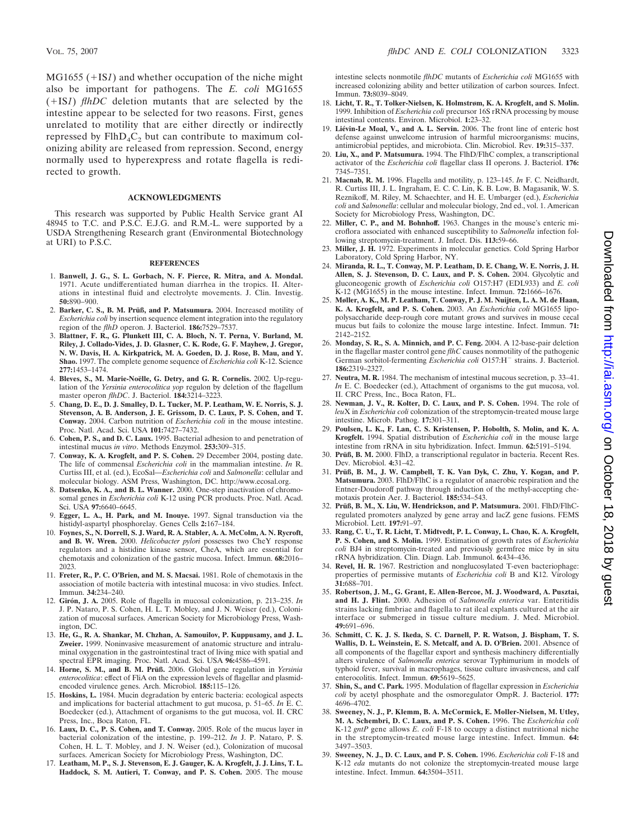$MG1655$  ( $+IS1$ ) and whether occupation of the niche might also be important for pathogens. The *E. coli* MG1655  $(+1S1)$  *flhDC* deletion mutants that are selected by the intestine appear to be selected for two reasons. First, genes unrelated to motility that are either directly or indirectly repressed by  $FlhD_4C_2$  but can contribute to maximum colonizing ability are released from repression. Second, energy normally used to hyperexpress and rotate flagella is redirected to growth.

#### **ACKNOWLEDGMENTS**

This research was supported by Public Health Service grant AI 48945 to T.C. and P.S.C. E.J.G. and R.M.-L. were supported by a USDA Strengthening Research grant (Environmental Biotechnology at URI) to P.S.C.

#### **REFERENCES**

- 1. **Banwell, J. G., S. L. Gorbach, N. F. Pierce, R. Mitra, and A. Mondal.** 1971. Acute undifferentiated human diarrhea in the tropics. II. Alterations in intestinal fluid and electrolyte movements. J. Clin. Investig. **50:**890–900.
- 2. Barker, C. S., B. M. Prüß, and P. Matsumura. 2004. Increased motility of *Escherichia coli* by insertion sequence element integration into the regulatory region of the *flhD* operon. J. Bacteriol. **186:**7529–7537.
- 3. **Blattner, F. R., G. Plunkett III, C. A. Bloch, N. T. Perna, V. Burland, M. Riley, J. Collado-Vides, J. D. Glasner, C. K. Rode, G. F. Mayhew, J. Gregor, N. W. Davis, H. A. Kirkpatrick, M. A. Goeden, D. J. Rose, B. Mau, and Y. Shao.** 1997. The complete genome sequence of *Escherichia coli* K-12. Science **277:**1453–1474.
- 4. Bleves, S., M. Marie-Noëlle, G. Detry, and G. R. Cornelis. 2002. Up-regulation of the *Yersinia enterocolitica yop* regulon by deletion of the flagellum master operon *flhDC*. J. Bacteriol. **184:**3214–3223.
- 5. **Chang, D. E., D. J. Smalley, D. L. Tucker, M. P. Leatham, W. E. Norris, S. J. Stevenson, A. B. Anderson, J. E. Grissom, D. C. Laux, P. S. Cohen, and T. Conway.** 2004. Carbon nutrition of *Escherichia coli* in the mouse intestine. Proc. Natl. Acad. Sci. USA **101:**7427–7432.
- 6. **Cohen, P. S., and D. C. Laux.** 1995. Bacterial adhesion to and penetration of intestinal mucus *in vitro*. Methods Enzymol. **253:**309–315.
- 7. **Conway, K. A. Krogfelt, and P. S. Cohen.** 29 December 2004, posting date. The life of commensal *Escherichia coli* in the mammalian intestine. *In* R. Curtiss III, et al. (ed.), EcoSal*—Escherichia coli* and *Salmonella*: cellular and molecular biology. ASM Press, Washington, DC. http://www.ecosal.org.
- 8. **Datsenko, K. A., and B. L. Wanner.** 2000. One-step inactivation of chromosomal genes in *Escherichia coli* K-12 using PCR products. Proc. Natl. Acad. Sci. USA **97:**6640–6645.
- 9. **Egger, L. A., H. Park, and M. Inouye.** 1997. Signal transduction via the histidyl-aspartyl phosphorelay. Genes Cells **2:**167–184.
- 10. **Foynes, S., N. Dorrell, S. J. Ward, R. A. Stabler, A. A. McColm, A. N. Rycroft, and B. W. Wren.** 2000. *Helicobacter pylori* possesses two CheY response regulators and a histidine kinase sensor, CheA, which are essential for chemotaxis and colonization of the gastric mucosa. Infect. Immun. **68:**2016– 2023.
- 11. **Freter, R., P. C. O'Brien, and M. S. Macsai.** 1981. Role of chemotaxis in the association of motile bacteria with intestinal mucosa: in vivo studies. Infect. Immun. **34:**234–240.
- 12. **Giro´n, J. A.** 2005. Role of flagella in mucosal colonization, p. 213–235. *In* J. P. Nataro, P. S. Cohen, H. L. T. Mobley, and J. N. Weiser (ed.), Colonization of mucosal surfaces. American Society for Microbiology Press, Washington, DC.
- 13. **He, G., R. A. Shankar, M. Chzhan, A. Samouilov, P. Kuppusamy, and J. L. Zweier.** 1999. Noninvasive measurement of anatomic structure and intraluminal oxygenation in the gastrointestinal tract of living mice with spatial and spectral EPR imaging. Proc. Natl. Acad. Sci. USA **96:**4586–4591.
- 14. **Horne, S. M., and B. M. Pru¨ß.** 2006. Global gene regulation in *Yersinia enterocolitica*: effect of FliA on the expression levels of flagellar and plasmidencoded virulence genes. Arch. Microbiol. **185:**115–126.
- 15. **Hoskins, L.** 1984. Mucin degradation by enteric bacteria: ecological aspects and implications for bacterial attachment to gut mucosa, p. 51–65. *In* E. C. Boedecker (ed.), Attachment of organisms to the gut mucosa, vol. II. CRC Press, Inc., Boca Raton, FL.
- 16. **Laux, D. C., P. S. Cohen, and T. Conway.** 2005. Role of the mucus layer in bacterial colonization of the intestine, p. 199–212. *In* J. P. Nataro, P. S. Cohen, H. L. T. Mobley, and J. N. Weiser (ed.), Colonization of mucosal surfaces. American Society for Microbiology Press, Washington, DC.
- 17. **Leatham, M. P., S. J. Stevenson, E. J. Gauger, K. A. Krogfelt, J. J. Lins, T. L. Haddock, S. M. Autieri, T. Conway, and P. S. Cohen.** 2005. The mouse

intestine selects nonmotile *flhDC* mutants of *Escherichia coli* MG1655 with increased colonizing ability and better utilization of carbon sources. Infect. Immun. **73:**8039–8049.

- 18. **Licht, T. R., T. Tolker-Nielsen, K. Holmstrøm, K. A. Krogfelt, and S. Molin.** 1999. Inhibition of *Escherichia coli* precursor 16S rRNA processing by mouse intestinal contents. Environ. Microbiol. **1:**23–32.
- 19. Liévin-Le Moal, V., and A. L. Servin. 2006. The front line of enteric host defense against unwelcome intrusion of harmful microorganisms: mucins, antimicrobial peptides, and microbiota. Clin. Microbiol. Rev. **19:**315–337.
- 20. **Liu, X., and P. Matsumura.** 1994. The FlhD/FlhC complex, a transcriptional activator of the *Escherichia coli* flagellar class II operons. J. Bacteriol. **176:** 7345–7351.
- 21. **Macnab, R. M.** 1996. Flagella and motility, p. 123–145. *In* F. C. Neidhardt, R. Curtiss III, J. L. Ingraham, E. C. C. Lin, K. B. Low, B. Magasanik, W. S. Reznikoff, M. Riley, M. Schaechter, and H. E. Umbarger (ed.), *Escherichia coli* and *Salmonella*: cellular and molecular biology, 2nd ed., vol. 1. American Society for Microbiology Press, Washington, DC.
- 22. **Miller, C. P., and M. Bohnhoff.** 1963. Changes in the mouse's enteric microflora associated with enhanced susceptibility to *Salmonella* infection following streptomycin-treatment. J. Infect. Dis. **113:**59–66.
- 23. **Miller, J. H.** 1972. Experiments in molecular genetics. Cold Spring Harbor Laboratory, Cold Spring Harbor, NY.
- 24. **Miranda, R. L., T. Conway, M. P. Leatham, D. E. Chang, W. E. Norris, J. H. Allen, S. J. Stevenson, D. C. Laux, and P. S. Cohen.** 2004. Glycolytic and gluconeogenic growth of *Escherichia coli* O157:H7 (EDL933) and *E. coli* K-12 (MG1655) in the mouse intestine. Infect. Immun. **72:**1666–1676.
- 25. **Møller, A. K., M. P. Leatham, T. Conway, P. J. M. Nuijten, L. A. M. de Haan, K. A. Krogfelt, and P. S. Cohen.** 2003. An *Escherichia coli* MG1655 lipopolysaccharide deep-rough core mutant grows and survives in mouse cecal mucus but fails to colonize the mouse large intestine. Infect. Immun. **71:** 2142–2152.
- 26. **Monday, S. R., S. A. Minnich, and P. C. Feng.** 2004. A 12-base-pair deletion in the flagellar master control gene *flhC* causes nonmotility of the pathogenic German sorbitol-fermenting *Escherichia coli* O157:H<sup>-</sup> strains. J. Bacteriol. **186:**2319–2327.
- 27. **Neutra, M. R.** 1984. The mechanism of intestinal mucous secretion, p. 33–41. *In* E. C. Boedecker (ed.), Attachment of organisms to the gut mucosa, vol. II. CRC Press, Inc., Boca Raton, FL.
- 28. **Newman, J. V., R. Kolter, D. C. Laux, and P. S. Cohen.** 1994. The role of *leu*X in *Escherichia coli* colonization of the streptomycin-treated mouse large intestine. Microb. Pathog. **17:**301–311.
- 29. **Poulsen, L. K., F. Lan, C. S. Kristensen, P. Hobolth, S. Molin, and K. A. Krogfelt.** 1994. Spatial distribution of *Escherichia coli* in the mouse large intestine from rRNA in situ hybridization. Infect. Immun. **62:**5191–5194.
- 30. Prüß, B. M. 2000. FlhD, a transcriptional regulator in bacteria. Recent Res. Dev. Microbiol. **4:**31–42.
- 31. **Pru¨ß, B. M., J. W. Campbell, T. K. Van Dyk, C. Zhu, Y. Kogan, and P. Matsumura.** 2003. FlhD/FlhC is a regulator of anaerobic respiration and the Entner-Doudoroff pathway through induction of the methyl-accepting chemotaxis protein Aer. J. Bacteriol. **185:**534–543.
- 32. **Pru¨ß, B. M., X. Liu, W. Hendrickson, and P. Matsumura.** 2001. FlhD/FlhCregulated promoters analyzed by gene array and lacZ gene fusions. FEMS Microbiol. Lett. **197:**91–97.
- 33. **Rang, C. U., T. R. Licht, T. Midtvedt, P. L. Conway, L. Chao, K. A. Krogfelt, P. S. Cohen, and S. Molin.** 1999. Estimation of growth rates of *Escherichia coli* BJ4 in streptomycin-treated and previously germfree mice by in situ rRNA hybridization. Clin. Diagn. Lab. Immunol. **6:**434–436.
- 34. **Revel, H. R.** 1967. Restriction and nonglucosylated T-even bacteriophage: properties of permissive mutants of *Escherichia coli* B and K12. Virology **31:**688–701.
- 35. **Robertson, J. M., G. Grant, E. Allen-Bercoe, M. J. Woodward, A. Pusztai, and H. J. Flint.** 2000. Adhesion of *Salmonella enterica* var. Enteritidis strains lacking fimbriae and flagella to rat ileal explants cultured at the air interface or submerged in tissue culture medium. J. Med. Microbiol. **49:**691–696.
- 36. **Schmitt, C. K. J. S. Ikeda, S. C. Darnell, P. R. Watson, J. Bispham, T. S. Wallis, D. L. Weinstein, E. S. Metcalf, and A. D. O'Brien.** 2001. Absence of all components of the flagellar export and synthesis machinery differentially alters virulence of *Salmonella enterica* serovar Typhimurium in models of typhoid fever, survival in macrophages, tissue culture invasiveness, and calf enterocolitis. Infect. Immun. **69:**5619–5625.
- 37. **Shin, S., and C. Park.** 1995. Modulation of flagellar expression in *Escherichia coli* by acetyl phosphate and the osmoregulator OmpR. J. Bacteriol. **177:** 4696–4702.
- 38. **Sweeney, N. J., P. Klemm, B. A. McCormick, E. Moller-Nielsen, M. Utley, M. A. Schembri, D. C. Laux, and P. S. Cohen.** 1996. The *Escherichia coli* K-12 *gntP* gene allows *E. coli* F-18 to occupy a distinct nutritional niche in the streptomycin-treated mouse large intestine. Infect. Immun. **64:** 3497–3503.
- 39. **Sweeney, N. J., D. C. Laux, and P. S. Cohen.** 1996. *Escherichia coli* F-18 and K-12 *eda* mutants do not colonize the streptomycin-treated mouse large intestine. Infect. Immun. **64:**3504–3511.